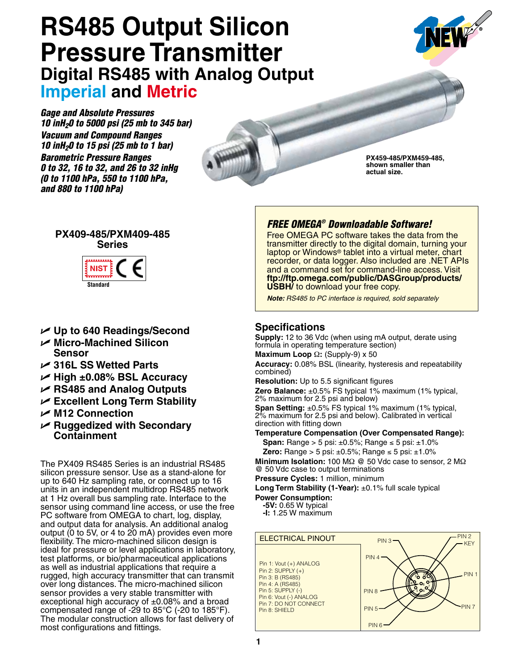# **RS485 Output Silicon Pressure Transmitter Digital RS485 with Analog Output Imperial and Metric**

*Gage and Absolute Pressures 10 inH20 to 5000 psi (25 mb to 345 bar) Vacuum and Compound Ranges 10 inH20 to 15 psi (25 mb to 1 bar) Barometric Pressure Ranges 0 to 32, 16 to 32, and 26 to 32 inHg (0 to 1100 hPa, 550 to 1100 hPa, and 880 to 1100 hPa)*



**PX459-485/PXM459-485, shown smaller than actual size.** 

### **PX409-485/PXM409-485 Series**



### U **Up to 640 Readings/Second**

- U **Micro-Machined Silicon Sensor**
- U **316L SS Wetted Parts**
- U **High ±0.08% BSL Accuracy**
- U **RS485 and Analog Outputs**
- U **Excellent Long Term Stability**
- U **M12 Connection**
- U **Ruggedized with Secondary Containment**

The PX409 RS485 Series is an industrial RS485 silicon pressure sensor. Use as a stand-alone for up to 640 Hz sampling rate, or connect up to 16 units in an independent multidrop RS485 network at 1 Hz overall bus sampling rate. Interface to the sensor using command line access, or use the free PC software from OMEGA to chart, log, display, and output data for analysis. An additional analog output (0 to 5V, or 4 to 20 mA) provides even more flexibility. The micro-machined silicon design is ideal for pressure or level applications in laboratory, test platforms, or bio/pharmaceutical applications as well as industrial applications that require a rugged, high accuracy transmitter that can transmit over long distances. The micro-machined silicon sensor provides a very stable transmitter with exceptional high accuracy of  $\pm 0.08\%$  and a broad compensated range of -29 to 85°C (-20 to 185°F). The modular construction allows for fast delivery of most configurations and fittings.

## *FREE OMEGA® Downloadable Software!*

Free OMEGA PC software takes the data from the transmitter directly to the digital domain, turning your laptop or Windows<sup>®</sup> tablet into a virtual meter, chart recorder, or data logger. Also included are .NET APIs and a command set for command-line access. Visit **ftp://ftp.omega.com/public/DASGroup/products/ USBH/** to download your free copy.

*Note: RS485 to PC interface is required, sold separately*

### **Specifications**

**Supply:** 12 to 36 Vdc (when using mA output, derate using formula in operating temperature section)

**Maximum Loop** Ω**:** (Supply-9) x 50

**Accuracy:** 0.08% BSL (linearity, hysteresis and repeatability combined)

**Resolution:** Up to 5.5 significant figures

**Zero Balance:** ±0.5% FS typical 1% maximum (1% typical, 2% maximum for 2.5 psi and below)

**Span Setting:** ±0.5% FS typical 1% maximum (1% typical, 2% maximum for 2.5 psi and below). Calibrated in vertical direction with fitting down

**Temperature Compensation (Over Compensated Range):** 

**Span:** Range > 5 psi: ±0.5%; Range ≤ 5 psi: ±1.0%

**Zero:** Range > 5 psi: ±0.5%; Range ≤ 5 psi: ±1.0%

**Minimum Isolation:** 100 MΩ @ 50 Vdc case to sensor, 2 MΩ @ 50 Vdc case to output terminations

**Pressure Cycles:** 1 million, minimum **Long Term Stability (1-Year):** ±0.1% full scale typical **Power Consumption:**

**-5V:** 0.65 W typical

**-I:** 1.25 W maximum

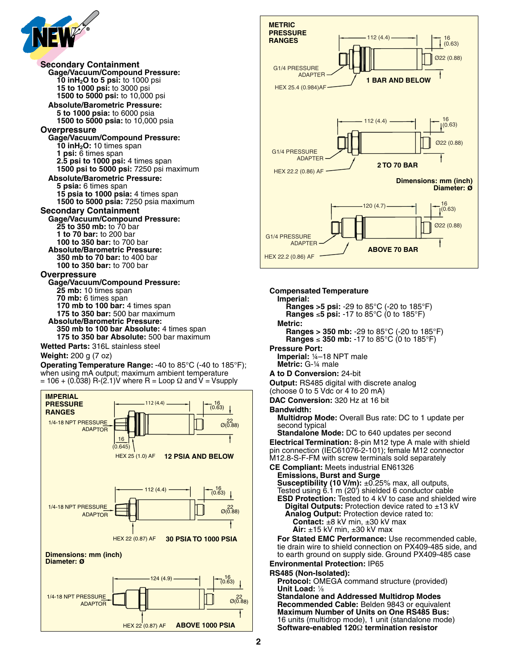

**Secondary Containment Gage/Vacuum/Compound Pressure: 10 inH2O to 5 psi:** to 1000 psi **15 to 1000 psi:** to 3000 psi **1500 to 5000 psi:** to 10,000 psi **Absolute/Barometric Pressure: 5 to 1000 psia:** to 6000 psia **1500 to 5000 psia:** to 10,000 psia **Overpressure Gage/Vacuum/Compound Pressure: 10 inH2O:** 10 times span **1 psi:** 6 times span **2.5 psi to 1000 psi:** 4 times span **1500 psi to 5000 psi:** 7250 psi maximum **Absolute/Barometric Pressure: 5 psia:** 6 times span **15 psia to 1000 psia:** 4 times span **1500 to 5000 psia:** 7250 psia maximum **Secondary Containment Gage/Vacuum/Compound Pressure: 25 to 350 mb:** to 70 bar **1 to 70 bar:** to 200 bar **100 to 350 bar:** to 700 bar **Absolute/Barometric Pressure: 350 mb to 70 bar:** to 400 bar **100 to 350 bar:** to 700 bar **Overpressure Gage/Vacuum/Compound Pressure: 25 mb:** 10 times span **70 mb:** 6 times span **170 mb to 100 bar:** 4 times span **175 to 350 bar:** 500 bar maximum **Absolute/Barometric Pressure: 350 mb to 100 bar Absolute:** 4 times span

**175 to 350 bar Absolute:** 500 bar maximum

**Wetted Parts:** 316L stainless steel

**Weight:** 200 g (7 oz)

**Operating Temperature Range:** -40 to 85°C (-40 to 185°F); when using mA output; maximum ambient temperature  $= 106 + (0.038)$  R-(2.1)V where R = Loop  $\Omega$  and V = Vsupply





#### **Compensated Temperature**

**Imperial:**

 **Ranges >5 psi:** -29 to 85°C (-20 to 185°F) **Ranges** ≤**5 psi:** -17 to 85°C (0 to 185°F)

**Metric: Ranges > 350 mb:** -29 to 85°C (-20 to 185°F) **Ranges** ≤ **350 mb:** -17 to 85°C (0 to 185°F)

#### **Pressure Port:**

**Imperial:** ¼–18 NPT male **Metric:** G-¼ male

#### **A to D Conversion:** 24-bit

**Output:** RS485 digital with discrete analog

(choose 0 to 5 Vdc or 4 to 20 mA)

**DAC Conversion:** 320 Hz at 16 bit

#### **Bandwidth:**

**Multidrop Mode:** Overall Bus rate: DC to 1 update per second typical

**Standalone Mode:** DC to 640 updates per second **Electrical Termination:** 8-pin M12 type A male with shield pin connection (IEC61076-2-101); female M12 connector M12.8-S-F-FM with screw terminals sold separately

**CE Compliant:** Meets industrial EN61326

**Emissions, Burst and Surge Susceptibility (10 V/m):** ±0.25% max, all outputs, Tested using 6.1 m (20') shielded 6 conductor cable **ESD Protection:** Tested to 4 kV to case and shielded wire **Digital Outputs:** Protection device rated to ±13 kV **Analog Output:** Protection device rated to: **Contact:** ±8 kV min, ±30 kV max **Air:** ±15 kV min, ±30 kV max

**For Stated EMC Performance:** Use recommended cable, tie drain wire to shield connection on PX409-485 side, and to earth ground on supply side. Ground PX409-485 case **Environmental Protection:** IP65

### **RS485 (Non-Isolated):**

**Protocol:** OMEGA command structure (provided) **Unit Load:** 1/8

**Standalone and Addressed Multidrop Modes Recommended Cable:** Belden 9843 or equivalent **Maximum Number of Units on One RS485 Bus:** 16 units (multidrop mode), 1 unit (standalone mode) **Software-enabled 120**Ω **termination resistor**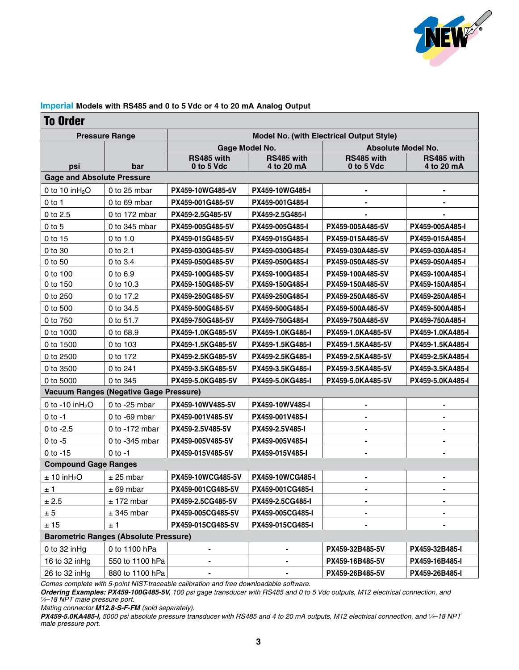

#### **Imperial Models with RS485 and 0 to 5 Vdc or 4 to 20 mA Analog Output**

### To Order

| <b>Pressure Range</b>                        |                                               | <b>Model No. (with Electrical Output Style)</b> |                          |                           |                          |  |  |
|----------------------------------------------|-----------------------------------------------|-------------------------------------------------|--------------------------|---------------------------|--------------------------|--|--|
|                                              |                                               | Gage Model No.                                  |                          | <b>Absolute Model No.</b> |                          |  |  |
| psi                                          | bar                                           | RS485 with<br>0 to 5 Vdc                        | RS485 with<br>4 to 20 mA | RS485 with<br>0 to 5 Vdc  | RS485 with<br>4 to 20 mA |  |  |
| <b>Gage and Absolute Pressure</b>            |                                               |                                                 |                          |                           |                          |  |  |
| 0 to 10 $inH2O$                              | 0 to 25 mbar                                  | PX459-10WG485-5V                                | PX459-10WG485-I          |                           |                          |  |  |
| $0$ to 1                                     | 0 to 69 mbar                                  | PX459-001G485-5V                                | PX459-001G485-I          |                           |                          |  |  |
| 0 to 2.5                                     | 0 to 172 mbar                                 | PX459-2.5G485-5V                                | PX459-2.5G485-I          |                           |                          |  |  |
| $0$ to $5$                                   | 0 to 345 mbar                                 | PX459-005G485-5V                                | PX459-005G485-I          | PX459-005A485-5V          | PX459-005A485-I          |  |  |
| 0 to 15                                      | $0$ to 1.0                                    | PX459-015G485-5V                                | PX459-015G485-I          | PX459-015A485-5V          | PX459-015A485-I          |  |  |
| 0 to 30                                      | 0 to 2.1                                      | PX459-030G485-5V                                | PX459-030G485-I          | PX459-030A485-5V          | PX459-030A485-I          |  |  |
| 0 to 50                                      | 0 to 3.4                                      | PX459-050G485-5V                                | PX459-050G485-I          | PX459-050A485-5V          | PX459-050A485-I          |  |  |
| 0 to 100                                     | 0 to 6.9                                      | PX459-100G485-5V                                | PX459-100G485-I          | PX459-100A485-5V          | PX459-100A485-I          |  |  |
| 0 to 150                                     | 0 to 10.3                                     | PX459-150G485-5V                                | PX459-150G485-I          | PX459-150A485-5V          | PX459-150A485-I          |  |  |
| 0 to 250                                     | 0 to 17.2                                     | PX459-250G485-5V                                | PX459-250G485-I          | PX459-250A485-5V          | PX459-250A485-I          |  |  |
| 0 to 500                                     | 0 to 34.5                                     | PX459-500G485-5V                                | PX459-500G485-I          | PX459-500A485-5V          | PX459-500A485-I          |  |  |
| 0 to 750                                     | 0 to 51.7                                     | PX459-750G485-5V                                | PX459-750G485-I          | PX459-750A485-5V          | PX459-750A485-I          |  |  |
| 0 to 1000                                    | 0 to 68.9                                     | PX459-1.0KG485-5V                               | PX459-1.0KG485-I         | PX459-1.0KA485-5V         | PX459-1.0KA485-I         |  |  |
| 0 to 1500                                    | 0 to 103                                      | PX459-1.5KG485-5V                               | PX459-1.5KG485-I         | PX459-1.5KA485-5V         | PX459-1.5KA485-I         |  |  |
| 0 to 2500                                    | 0 to 172                                      | PX459-2.5KG485-5V                               | PX459-2.5KG485-I         | PX459-2.5KA485-5V         | PX459-2.5KA485-I         |  |  |
| 0 to 3500                                    | 0 to 241                                      | PX459-3.5KG485-5V                               | PX459-3.5KG485-I         | PX459-3.5KA485-5V         | PX459-3.5KA485-I         |  |  |
| 0 to 5000                                    | 0 to 345                                      | PX459-5.0KG485-5V                               | PX459-5.0KG485-I         | PX459-5.0KA485-5V         | PX459-5.0KA485-I         |  |  |
|                                              | <b>Vacuum Ranges (Negative Gage Pressure)</b> |                                                 |                          |                           |                          |  |  |
| 0 to -10 in $H_2O$                           | 0 to $-25$ mbar                               | PX459-10WV485-5V                                | PX459-10WV485-I          | $\blacksquare$            | $\blacksquare$           |  |  |
| $0$ to $-1$                                  | 0 to -69 mbar                                 | PX459-001V485-5V                                | PX459-001V485-I          |                           |                          |  |  |
| 0 to $-2.5$                                  | 0 to -172 mbar                                | PX459-2.5V485-5V                                | PX459-2.5V485-I          | $\blacksquare$            |                          |  |  |
| $0$ to $-5$                                  | 0 to -345 mbar                                | PX459-005V485-5V                                | PX459-005V485-I          | ۰                         | $\blacksquare$           |  |  |
| $0$ to $-15$                                 | $0$ to $-1$                                   | PX459-015V485-5V                                | PX459-015V485-I          |                           |                          |  |  |
| <b>Compound Gage Ranges</b>                  |                                               |                                                 |                          |                           |                          |  |  |
| $± 10$ inH <sub>2</sub> O                    | $± 25$ mbar                                   | PX459-10WCG485-5V                               | PX459-10WCG485-I         | $\blacksquare$            | $\blacksquare$           |  |  |
| $\pm$ 1                                      | $± 69$ mbar                                   | PX459-001CG485-5V                               | PX459-001CG485-I         | ۰                         |                          |  |  |
| $\pm$ 2.5                                    | ± 172 mbar                                    | PX459-2.5CG485-5V                               | PX459-2.5CG485-I         |                           |                          |  |  |
| ± 5                                          | $± 345$ mbar                                  | PX459-005CG485-5V                               | PX459-005CG485-I         | ۰                         |                          |  |  |
| ± 15                                         | ±1                                            | PX459-015CG485-5V                               | PX459-015CG485-I         |                           |                          |  |  |
| <b>Barometric Ranges (Absolute Pressure)</b> |                                               |                                                 |                          |                           |                          |  |  |
| 0 to 32 in Hg                                | 0 to 1100 hPa                                 |                                                 | -                        | PX459-32B485-5V           | PX459-32B485-I           |  |  |
| 16 to 32 in Hg                               | 550 to 1100 hPa                               |                                                 |                          | PX459-16B485-5V           | PX459-16B485-I           |  |  |
| 26 to 32 inHg                                | 880 to 1100 hPa                               |                                                 |                          | PX459-26B485-5V           | PX459-26B485-I           |  |  |

*Comes complete with 5-point NIST-traceable calibration and free downloadable software.*

*Ordering Examples: PX459-100G485-5V, 100 psi gage transducer with RS485 and 0 to 5 Vdc outputs, M12 electrical connection, and 1 ⁄4–18 NPT male pressure port.*

*Mating connector M12.8-S-F-FM (sold separately).*

*PX459-5.0KA485-I, 5000 psi absolute pressure transducer with RS485 and 4 to 20 mA outputs, M12 electrical connection, and 1 ⁄4–18 NPT male pressure port.*